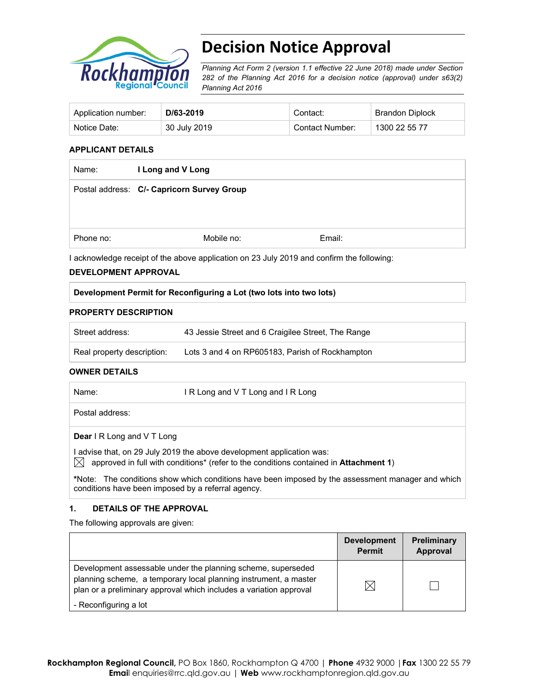

# **Decision Notice Approval**

*Planning Act Form 2 (version 1.1 effective 22 June 2018) made under Section 282 of the Planning Act 2016 for a decision notice (approval) under s63(2) Planning Act 2016*

| Application number: | D/63-2019    | Contact:        | Brandon Diplock |
|---------------------|--------------|-----------------|-----------------|
| Notice Date:        | 30 July 2019 | Contact Number: | 1300 22 55 77   |

#### **APPLICANT DETAILS**

| Name:     | I Long and V Long                          |        |  |
|-----------|--------------------------------------------|--------|--|
|           | Postal address: C/- Capricorn Survey Group |        |  |
|           |                                            |        |  |
| Phone no: | Mobile no:                                 | Email: |  |

I acknowledge receipt of the above application on 23 July 2019 and confirm the following:

#### **DEVELOPMENT APPROVAL**

#### **Development Permit for Reconfiguring a Lot (two lots into two lots)**

#### **PROPERTY DESCRIPTION**

| Street address:            | 43 Jessie Street and 6 Craigilee Street, The Range |
|----------------------------|----------------------------------------------------|
| Real property description: | Lots 3 and 4 on RP605183, Parish of Rockhampton    |

#### **OWNER DETAILS**

| Name: | IR Long and VT Long and IR Long |
|-------|---------------------------------|
|       |                                 |

Postal address:

**Dear** I R Long and V T Long

I advise that, on 29 July 2019 the above development application was:  $\boxtimes$  approved in full with conditions<sup>\*</sup> (refer to the conditions contained in **Attachment 1**)

**\***Note:The conditions show which conditions have been imposed by the assessment manager and which conditions have been imposed by a referral agency.

#### **1. DETAILS OF THE APPROVAL**

The following approvals are given:

|                                                                                                                                                                                                        | <b>Development</b><br><b>Permit</b> | Preliminary<br>Approval |
|--------------------------------------------------------------------------------------------------------------------------------------------------------------------------------------------------------|-------------------------------------|-------------------------|
| Development assessable under the planning scheme, superseded<br>planning scheme, a temporary local planning instrument, a master<br>plan or a preliminary approval which includes a variation approval | $\boxtimes$                         |                         |
| - Reconfiguring a lot                                                                                                                                                                                  |                                     |                         |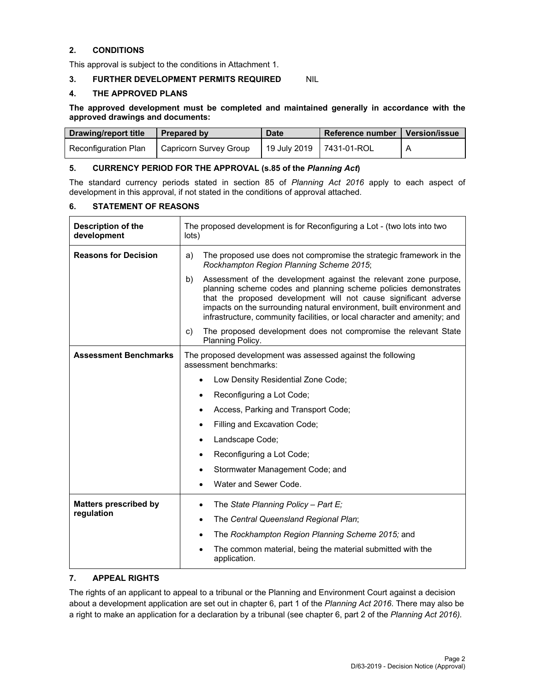# **2. CONDITIONS**

This approval is subject to the conditions in Attachment 1.

#### **3. FURTHER DEVELOPMENT PERMITS REQUIRED NIL**

#### **4. THE APPROVED PLANS**

**The approved development must be completed and maintained generally in accordance with the approved drawings and documents:** 

| Drawing/report title | <b>Prepared by</b>     | <b>Date</b>              | l Reference number | Version/issue |
|----------------------|------------------------|--------------------------|--------------------|---------------|
| Reconfiguration Plan | Capricorn Survey Group | 19 July 2019 7431-01-ROL |                    |               |

#### **5. CURRENCY PERIOD FOR THE APPROVAL (s.85 of the** *Planning Act***)**

The standard currency periods stated in section 85 of *Planning Act 2016* apply to each aspect of development in this approval, if not stated in the conditions of approval attached.

## **6. STATEMENT OF REASONS**

| Description of the<br>development | The proposed development is for Reconfiguring a Lot - (two lots into two<br>lots)                                                                                                                                                                                                                                                                                   |  |  |
|-----------------------------------|---------------------------------------------------------------------------------------------------------------------------------------------------------------------------------------------------------------------------------------------------------------------------------------------------------------------------------------------------------------------|--|--|
| <b>Reasons for Decision</b>       | The proposed use does not compromise the strategic framework in the<br>a)<br>Rockhampton Region Planning Scheme 2015;                                                                                                                                                                                                                                               |  |  |
|                                   | Assessment of the development against the relevant zone purpose,<br>b)<br>planning scheme codes and planning scheme policies demonstrates<br>that the proposed development will not cause significant adverse<br>impacts on the surrounding natural environment, built environment and<br>infrastructure, community facilities, or local character and amenity; and |  |  |
|                                   | The proposed development does not compromise the relevant State<br>C)<br>Planning Policy.                                                                                                                                                                                                                                                                           |  |  |
| <b>Assessment Benchmarks</b>      | The proposed development was assessed against the following<br>assessment benchmarks:                                                                                                                                                                                                                                                                               |  |  |
|                                   | Low Density Residential Zone Code;<br>$\bullet$                                                                                                                                                                                                                                                                                                                     |  |  |
|                                   | Reconfiguring a Lot Code;<br>٠                                                                                                                                                                                                                                                                                                                                      |  |  |
|                                   | Access, Parking and Transport Code;                                                                                                                                                                                                                                                                                                                                 |  |  |
|                                   | Filling and Excavation Code;<br>٠                                                                                                                                                                                                                                                                                                                                   |  |  |
|                                   | Landscape Code;<br>$\bullet$                                                                                                                                                                                                                                                                                                                                        |  |  |
|                                   | Reconfiguring a Lot Code;<br>$\bullet$                                                                                                                                                                                                                                                                                                                              |  |  |
|                                   | Stormwater Management Code; and<br>٠                                                                                                                                                                                                                                                                                                                                |  |  |
|                                   | Water and Sewer Code.                                                                                                                                                                                                                                                                                                                                               |  |  |
| <b>Matters prescribed by</b>      | The State Planning Policy - Part E;<br>$\bullet$                                                                                                                                                                                                                                                                                                                    |  |  |
| regulation                        | The Central Queensland Regional Plan;<br>$\bullet$                                                                                                                                                                                                                                                                                                                  |  |  |
|                                   | The Rockhampton Region Planning Scheme 2015; and<br>$\bullet$                                                                                                                                                                                                                                                                                                       |  |  |
|                                   | The common material, being the material submitted with the<br>application.                                                                                                                                                                                                                                                                                          |  |  |

#### **7. APPEAL RIGHTS**

The rights of an applicant to appeal to a tribunal or the Planning and Environment Court against a decision about a development application are set out in chapter 6, part 1 of the *Planning Act 2016*. There may also be a right to make an application for a declaration by a tribunal (see chapter 6, part 2 of the *Planning Act 2016).*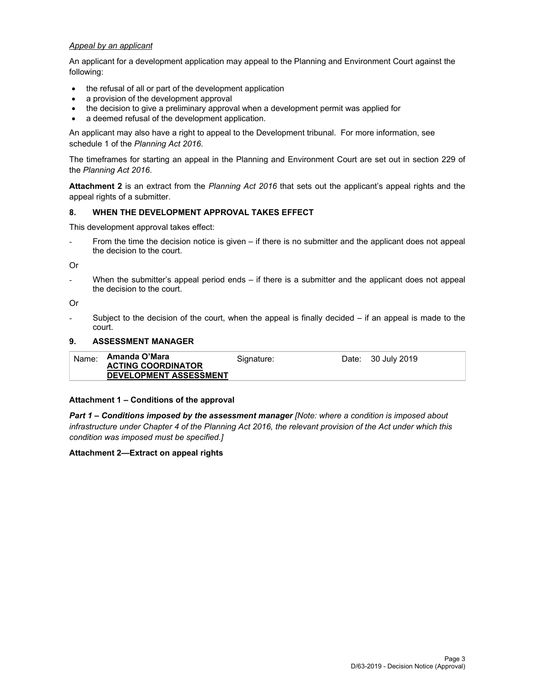#### *Appeal by an applicant*

An applicant for a development application may appeal to the Planning and Environment Court against the following:

- the refusal of all or part of the development application
- a provision of the development approval
- the decision to give a preliminary approval when a development permit was applied for
- a deemed refusal of the development application.

An applicant may also have a right to appeal to the Development tribunal. For more information, see schedule 1 of the *Planning Act 2016*.

The timeframes for starting an appeal in the Planning and Environment Court are set out in section 229 of the *Planning Act 2016*.

**Attachment 2** is an extract from the *Planning Act 2016* that sets out the applicant's appeal rights and the appeal rights of a submitter.

#### **8. WHEN THE DEVELOPMENT APPROVAL TAKES EFFECT**

This development approval takes effect:

From the time the decision notice is given – if there is no submitter and the applicant does not appeal the decision to the court.

Or

When the submitter's appeal period ends  $-$  if there is a submitter and the applicant does not appeal the decision to the court.

Or

Subject to the decision of the court, when the appeal is finally decided  $-$  if an appeal is made to the court.

#### **9. ASSESSMENT MANAGER**

| Name: | Amanda O'Mara<br><b>ACTING COORDINATOR</b> | Signature: | Date: 30 July 2019 |
|-------|--------------------------------------------|------------|--------------------|
|       | <b>DEVELOPMENT ASSESSMENT</b>              |            |                    |

#### **Attachment 1 – Conditions of the approval**

*Part 1* **–** *Conditions imposed by the assessment manager [Note: where a condition is imposed about infrastructure under Chapter 4 of the Planning Act 2016, the relevant provision of the Act under which this condition was imposed must be specified.]*

#### **Attachment 2—Extract on appeal rights**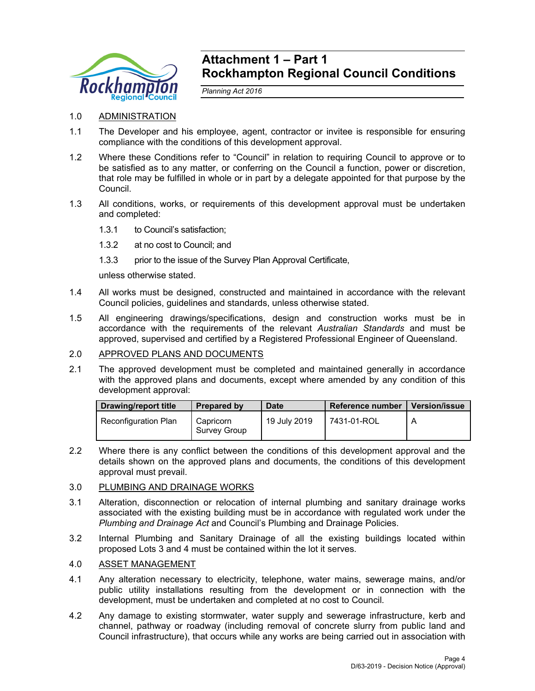

# **Attachment 1 – Part 1 Rockhampton Regional Council Conditions**

*Planning Act 2016* 

- 1.0 ADMINISTRATION
- 1.1 The Developer and his employee, agent, contractor or invitee is responsible for ensuring compliance with the conditions of this development approval.
- 1.2 Where these Conditions refer to "Council" in relation to requiring Council to approve or to be satisfied as to any matter, or conferring on the Council a function, power or discretion, that role may be fulfilled in whole or in part by a delegate appointed for that purpose by the Council.
- 1.3 All conditions, works, or requirements of this development approval must be undertaken and completed:
	- 1.3.1 to Council's satisfaction;
	- 1.3.2 at no cost to Council; and
	- 1.3.3 prior to the issue of the Survey Plan Approval Certificate,

unless otherwise stated.

- 1.4 All works must be designed, constructed and maintained in accordance with the relevant Council policies, guidelines and standards, unless otherwise stated.
- 1.5 All engineering drawings/specifications, design and construction works must be in accordance with the requirements of the relevant *Australian Standards* and must be approved, supervised and certified by a Registered Professional Engineer of Queensland.

#### 2.0 APPROVED PLANS AND DOCUMENTS

2.1 The approved development must be completed and maintained generally in accordance with the approved plans and documents, except where amended by any condition of this development approval:

| Drawing/report title | <b>Prepared by</b>        | <b>Date</b>  | Reference number | <b>Version/issue</b> |
|----------------------|---------------------------|--------------|------------------|----------------------|
| Reconfiguration Plan | Capricorn<br>Survey Group | 19 July 2019 | 7431-01-ROL      |                      |

2.2 Where there is any conflict between the conditions of this development approval and the details shown on the approved plans and documents, the conditions of this development approval must prevail.

#### 3.0 PLUMBING AND DRAINAGE WORKS

- 3.1 Alteration, disconnection or relocation of internal plumbing and sanitary drainage works associated with the existing building must be in accordance with regulated work under the *Plumbing and Drainage Act* and Council's Plumbing and Drainage Policies.
- 3.2 Internal Plumbing and Sanitary Drainage of all the existing buildings located within proposed Lots 3 and 4 must be contained within the lot it serves.

# 4.0 ASSET MANAGEMENT

- 4.1 Any alteration necessary to electricity, telephone, water mains, sewerage mains, and/or public utility installations resulting from the development or in connection with the development, must be undertaken and completed at no cost to Council.
- 4.2 Any damage to existing stormwater, water supply and sewerage infrastructure, kerb and channel, pathway or roadway (including removal of concrete slurry from public land and Council infrastructure), that occurs while any works are being carried out in association with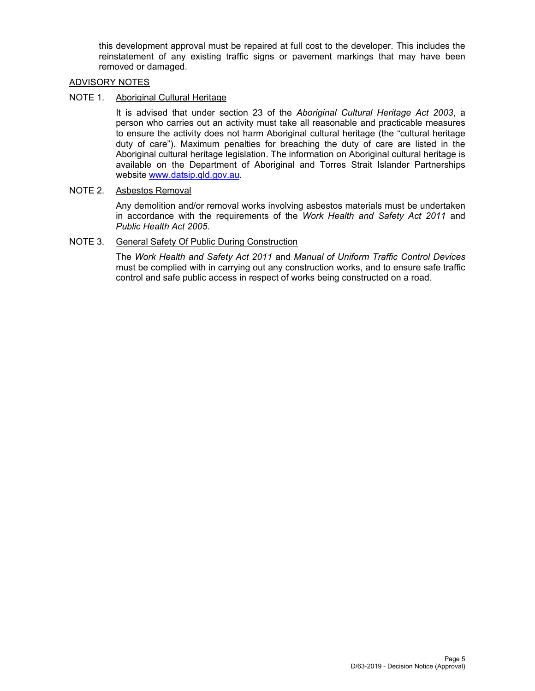this development approval must be repaired at full cost to the developer. This includes the reinstatement of any existing traffic signs or pavement markings that may have been removed or damaged.

## ADVISORY NOTES

## NOTE 1. Aboriginal Cultural Heritage

It is advised that under section 23 of the *Aboriginal Cultural Heritage Act 2003*, a person who carries out an activity must take all reasonable and practicable measures to ensure the activity does not harm Aboriginal cultural heritage (the "cultural heritage duty of care"). Maximum penalties for breaching the duty of care are listed in the Aboriginal cultural heritage legislation. The information on Aboriginal cultural heritage is available on the Department of Aboriginal and Torres Strait Islander Partnerships website www.datsip.qld.gov.au.

#### NOTE 2. Asbestos Removal

Any demolition and/or removal works involving asbestos materials must be undertaken in accordance with the requirements of the *Work Health and Safety Act 2011* and *Public Health Act 2005*.

## NOTE 3. General Safety Of Public During Construction

The *Work Health and Safety Act 2011* and *Manual of Uniform Traffic Control Devices* must be complied with in carrying out any construction works, and to ensure safe traffic control and safe public access in respect of works being constructed on a road.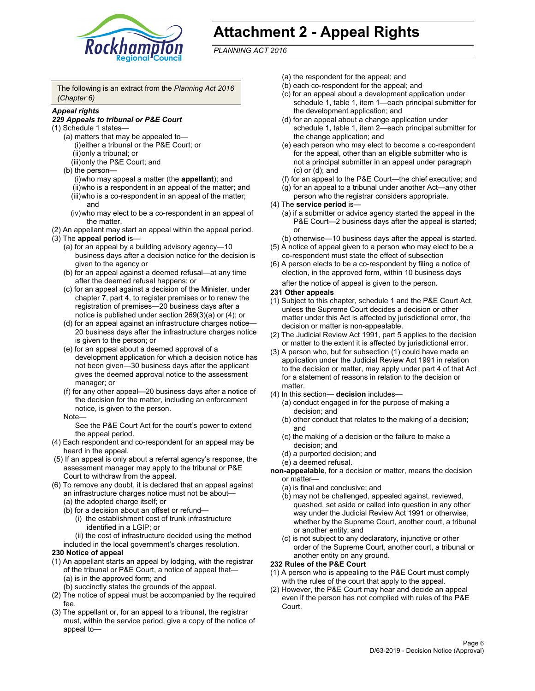

# **Attachment 2 - Appeal Rights**

*PLANNING ACT 2016*

The following is an extract from the *Planning Act 2016 (Chapter 6)*

#### *Appeal rights*

#### *229 Appeals to tribunal or P&E Court*

- (1) Schedule 1 states—
	- (a) matters that may be appealed to— (i) either a tribunal or the P&E Court; or (ii) only a tribunal; or (iii) only the P&E Court; and
	- (b) the person—
		- (i) who may appeal a matter (the **appellant**); and
		- (ii) who is a respondent in an appeal of the matter; and (iii) who is a co-respondent in an appeal of the matter; and
		- (iv) who may elect to be a co-respondent in an appeal of the matter.
- (2) An appellant may start an appeal within the appeal period.
- (3) The **appeal period** is—
	- (a) for an appeal by a building advisory agency—10 business days after a decision notice for the decision is given to the agency or
	- (b) for an appeal against a deemed refusal—at any time after the deemed refusal happens; or
	- (c) for an appeal against a decision of the Minister, under chapter 7, part 4, to register premises or to renew the registration of premises—20 business days after a notice is published under section 269(3)(a) or (4); or
	- (d) for an appeal against an infrastructure charges notice— 20 business days after the infrastructure charges notice is given to the person; or
	- (e) for an appeal about a deemed approval of a development application for which a decision notice has not been given—30 business days after the applicant gives the deemed approval notice to the assessment manager; or
	- (f) for any other appeal—20 business days after a notice of the decision for the matter, including an enforcement notice, is given to the person.

#### Note—

See the P&E Court Act for the court's power to extend the appeal period.

- (4) Each respondent and co-respondent for an appeal may be heard in the appeal.
- (5) If an appeal is only about a referral agency's response, the assessment manager may apply to the tribunal or P&E Court to withdraw from the appeal.
- (6) To remove any doubt, it is declared that an appeal against an infrastructure charges notice must not be about— (a) the adopted charge itself; or
	- (b) for a decision about an offset or refund—
		- (i) the establishment cost of trunk infrastructure identified in a LGIP; or
		- (ii) the cost of infrastructure decided using the method
	- included in the local government's charges resolution.

#### **230 Notice of appeal**

- (1) An appellant starts an appeal by lodging, with the registrar of the tribunal or P&E Court, a notice of appeal that— (a) is in the approved form; and
	- (b) succinctly states the grounds of the appeal.
- (2) The notice of appeal must be accompanied by the required fee.
- (3) The appellant or, for an appeal to a tribunal, the registrar must, within the service period, give a copy of the notice of appeal to—
- (a) the respondent for the appeal; and
- (b) each co-respondent for the appeal; and
- (c) for an appeal about a development application under schedule 1, table 1, item 1—each principal submitter for the development application; and
- (d) for an appeal about a change application under schedule 1, table 1, item 2—each principal submitter for the change application; and
- (e) each person who may elect to become a co-respondent for the appeal, other than an eligible submitter who is not a principal submitter in an appeal under paragraph (c) or (d); and
- (f) for an appeal to the P&E Court—the chief executive; and
- (g) for an appeal to a tribunal under another Act—any other person who the registrar considers appropriate.
- (4) The **service period** is—
	- (a) if a submitter or advice agency started the appeal in the P&E Court-2 business days after the appeal is started; or
	- (b) otherwise—10 business days after the appeal is started.
- (5) A notice of appeal given to a person who may elect to be a co-respondent must state the effect of subsection
- (6) A person elects to be a co-respondent by filing a notice of election, in the approved form, within 10 business days
	- after the notice of appeal is given to the person*.*
- **231 Other appeals**
- (1) Subject to this chapter, schedule 1 and the P&E Court Act, unless the Supreme Court decides a decision or other matter under this Act is affected by jurisdictional error, the decision or matter is non-appealable.
- (2) The Judicial Review Act 1991, part 5 applies to the decision or matter to the extent it is affected by jurisdictional error.
- (3) A person who, but for subsection (1) could have made an application under the Judicial Review Act 1991 in relation to the decision or matter, may apply under part 4 of that Act for a statement of reasons in relation to the decision or matter.
- (4) In this section— **decision** includes—
	- (a) conduct engaged in for the purpose of making a decision; and
	- (b) other conduct that relates to the making of a decision; and
	- (c) the making of a decision or the failure to make a decision; and
	- (d) a purported decision; and
	- (e) a deemed refusal.

**non-appealable**, for a decision or matter, means the decision or matter—

- (a) is final and conclusive; and
- (b) may not be challenged, appealed against, reviewed, quashed, set aside or called into question in any other way under the Judicial Review Act 1991 or otherwise, whether by the Supreme Court, another court, a tribunal or another entity; and
- (c) is not subject to any declaratory, injunctive or other order of the Supreme Court, another court, a tribunal or another entity on any ground.

#### **232 Rules of the P&E Court**

- (1) A person who is appealing to the P&E Court must comply with the rules of the court that apply to the appeal.
- (2) However, the P&E Court may hear and decide an appeal even if the person has not complied with rules of the P&E Court.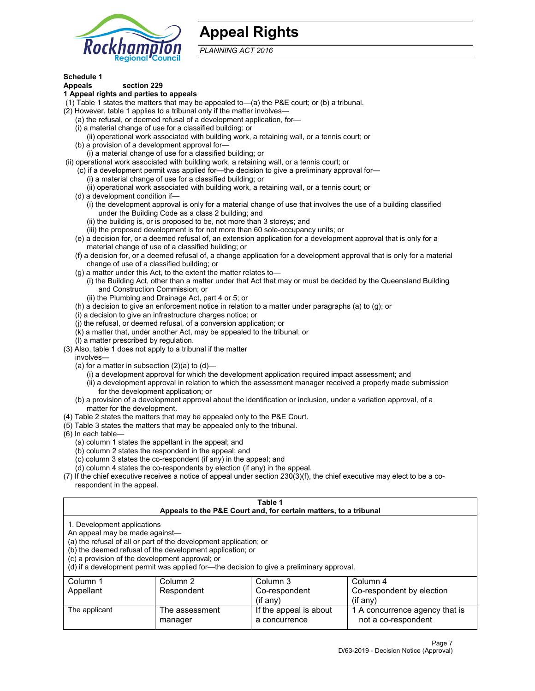

# **Appeal Rights**

*PLANNING ACT 2016*

# **Schedule 1**

# **Appeals section 229**

#### **1 Appeal rights and parties to appeals**

- (1) Table 1 states the matters that may be appealed to—(a) the P&E court; or (b) a tribunal.
- (2) However, table 1 applies to a tribunal only if the matter involves—
	- (a) the refusal, or deemed refusal of a development application, for—
	- (i) a material change of use for a classified building; or
	- (ii) operational work associated with building work, a retaining wall, or a tennis court; or
	- (b) a provision of a development approval for—
	- (i) a material change of use for a classified building; or
- (ii) operational work associated with building work, a retaining wall, or a tennis court; or
	- (c) if a development permit was applied for—the decision to give a preliminary approval for— (i) a material change of use for a classified building; or
	- (ii) operational work associated with building work, a retaining wall, or a tennis court; or
	- (d) a development condition if—
		- (i) the development approval is only for a material change of use that involves the use of a building classified under the Building Code as a class 2 building; and
		- (ii) the building is, or is proposed to be, not more than 3 storeys; and
		- (iii) the proposed development is for not more than 60 sole-occupancy units; or
	- (e) a decision for, or a deemed refusal of, an extension application for a development approval that is only for a material change of use of a classified building; or
	- (f) a decision for, or a deemed refusal of, a change application for a development approval that is only for a material change of use of a classified building; or
	- (g) a matter under this Act, to the extent the matter relates to—
		- (i) the Building Act, other than a matter under that Act that may or must be decided by the Queensland Building and Construction Commission; or
		- (ii) the Plumbing and Drainage Act, part 4 or 5; or
	- (h) a decision to give an enforcement notice in relation to a matter under paragraphs (a) to (g); or
	- (i) a decision to give an infrastructure charges notice; or
	- (j) the refusal, or deemed refusal, of a conversion application; or
	- (k) a matter that, under another Act, may be appealed to the tribunal; or
	- (l) a matter prescribed by regulation.
- (3) Also, table 1 does not apply to a tribunal if the matter
	- involves—
		- (a) for a matter in subsection  $(2)(a)$  to  $(d)$ 
			- (i) a development approval for which the development application required impact assessment; and
			- (ii) a development approval in relation to which the assessment manager received a properly made submission for the development application; or
	- (b) a provision of a development approval about the identification or inclusion, under a variation approval, of a matter for the development.
- (4) Table 2 states the matters that may be appealed only to the P&E Court.
- (5) Table 3 states the matters that may be appealed only to the tribunal.
- (6) In each table—
	- (a) column 1 states the appellant in the appeal; and
	- (b) column 2 states the respondent in the appeal; and
	- (c) column 3 states the co-respondent (if any) in the appeal; and
	- (d) column 4 states the co-respondents by election (if any) in the appeal.
- (7) If the chief executive receives a notice of appeal under section 230(3)(f), the chief executive may elect to be a corespondent in the appeal.

| Table 1<br>Appeals to the P&E Court and, for certain matters, to a tribunal                                      |                                                                                                                                |                                                                                          |                                                       |  |  |  |
|------------------------------------------------------------------------------------------------------------------|--------------------------------------------------------------------------------------------------------------------------------|------------------------------------------------------------------------------------------|-------------------------------------------------------|--|--|--|
| 1. Development applications<br>An appeal may be made against-<br>(c) a provision of the development approval; or | (a) the refusal of all or part of the development application; or<br>(b) the deemed refusal of the development application; or | (d) if a development permit was applied for—the decision to give a preliminary approval. |                                                       |  |  |  |
| Column 1                                                                                                         | Column <sub>3</sub><br>Column <sub>2</sub><br>Column <sub>4</sub>                                                              |                                                                                          |                                                       |  |  |  |
| Appellant                                                                                                        | Co-respondent<br>Co-respondent by election<br>Respondent                                                                       |                                                                                          |                                                       |  |  |  |
|                                                                                                                  | $($ if any $)$<br>$($ if any $)$                                                                                               |                                                                                          |                                                       |  |  |  |
| The applicant                                                                                                    | The assessment<br>manager                                                                                                      | If the appeal is about<br>a concurrence                                                  | 1 A concurrence agency that is<br>not a co-respondent |  |  |  |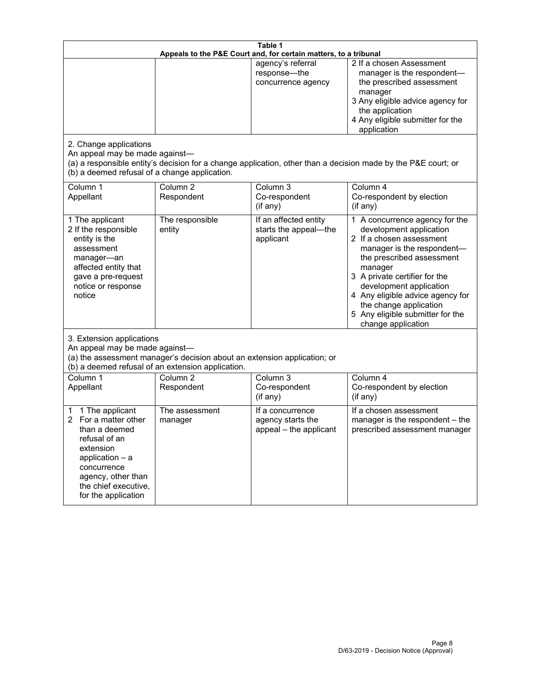| Table 1<br>Appeals to the P&E Court and, for certain matters, to a tribunal                                                                                                                             |                                                                                                                               |                                                                 |                                                                                                                                                                                                                                                                                                                                                 |  |
|---------------------------------------------------------------------------------------------------------------------------------------------------------------------------------------------------------|-------------------------------------------------------------------------------------------------------------------------------|-----------------------------------------------------------------|-------------------------------------------------------------------------------------------------------------------------------------------------------------------------------------------------------------------------------------------------------------------------------------------------------------------------------------------------|--|
| 2. Change applications<br>An appeal may be made against-<br>(b) a deemed refusal of a change application.                                                                                               |                                                                                                                               | agency's referral<br>response-the<br>concurrence agency         | 2 If a chosen Assessment<br>manager is the respondent-<br>the prescribed assessment<br>manager<br>3 Any eligible advice agency for<br>the application<br>4 Any eligible submitter for the<br>application<br>(a) a responsible entity's decision for a change application, other than a decision made by the P&E court; or                       |  |
| Column 1<br>Appellant                                                                                                                                                                                   | Column <sub>2</sub><br>Respondent                                                                                             | Column 3<br>Co-respondent<br>(if any)                           | Column 4<br>Co-respondent by election<br>(if any)                                                                                                                                                                                                                                                                                               |  |
| 1 The applicant<br>2 If the responsible<br>entity is the<br>assessment<br>manager-an<br>affected entity that<br>gave a pre-request<br>notice or response<br>notice                                      | The responsible<br>entity                                                                                                     | If an affected entity<br>starts the appeal-the<br>applicant     | 1 A concurrence agency for the<br>development application<br>2 If a chosen assessment<br>manager is the respondent-<br>the prescribed assessment<br>manager<br>3 A private certifier for the<br>development application<br>4 Any eligible advice agency for<br>the change application<br>5 Any eligible submitter for the<br>change application |  |
| 3. Extension applications<br>An appeal may be made against-                                                                                                                                             | (a) the assessment manager's decision about an extension application; or<br>(b) a deemed refusal of an extension application. |                                                                 |                                                                                                                                                                                                                                                                                                                                                 |  |
| Column 1<br>Appellant                                                                                                                                                                                   | Column <sub>2</sub><br>Respondent                                                                                             | Column 3<br>Co-respondent<br>(if any)                           | Column 4<br>Co-respondent by election<br>(if any)                                                                                                                                                                                                                                                                                               |  |
| 1 The applicant<br>1<br>For a matter other<br>2<br>than a deemed<br>refusal of an<br>extension<br>application $-$ a<br>concurrence<br>agency, other than<br>the chief executive,<br>for the application | The assessment<br>manager                                                                                                     | If a concurrence<br>agency starts the<br>appeal - the applicant | If a chosen assessment<br>manager is the respondent - the<br>prescribed assessment manager                                                                                                                                                                                                                                                      |  |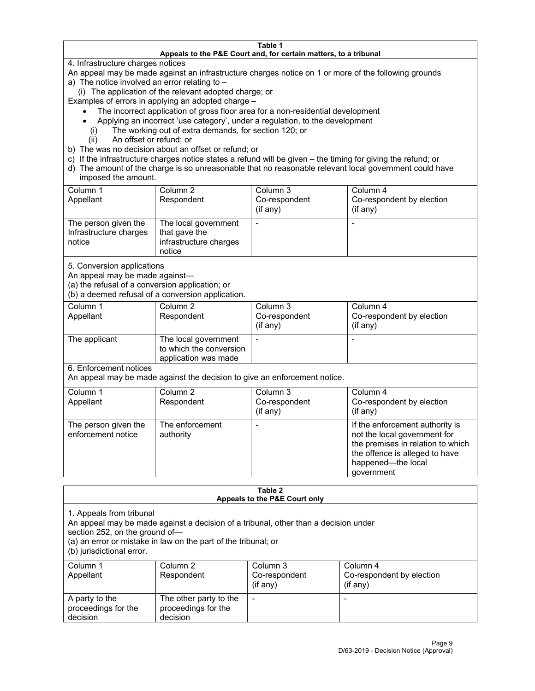#### **Table 1 Appeals to the P&E Court and, for certain matters, to a tribunal**

4. Infrastructure charges notices

An appeal may be made against an infrastructure charges notice on 1 or more of the following grounds

- a) The notice involved an error relating to
	- (i) The application of the relevant adopted charge; or

Examples of errors in applying an adopted charge –

- The incorrect application of gross floor area for a non-residential development
- Applying an incorrect 'use category', under a regulation, to the development
	- (i) The working out of extra demands, for section 120; or
	- (ii) An offset or refund; or
- b) The was no decision about an offset or refund; or
- c) If the infrastructure charges notice states a refund will be given the timing for giving the refund; or
- d) The amount of the charge is so unreasonable that no reasonable relevant local government could have imposed the amount.

| Column 1<br>Appellant                                    | Column 2<br>Respondent                                                    | Column 3<br>Co-respondent<br>$($ if any $)$ | Column 4<br>Co-respondent by election<br>$($ if any $)$ |
|----------------------------------------------------------|---------------------------------------------------------------------------|---------------------------------------------|---------------------------------------------------------|
| The person given the<br>Infrastructure charges<br>notice | The local government<br>that gave the<br>infrastructure charges<br>notice |                                             |                                                         |

5. Conversion applications

An appeal may be made against—

(a) the refusal of a conversion application; or

(b) a deemed refusal of a conversion application.

| Column 1      | Column 2                | Column 3       | Column 4                  |  |
|---------------|-------------------------|----------------|---------------------------|--|
| Appellant     | Respondent              | Co-respondent  | Co-respondent by election |  |
|               |                         | $($ if any $)$ | $($ if any $)$            |  |
|               |                         |                |                           |  |
| The applicant | The local government    |                |                           |  |
|               | to which the conversion |                |                           |  |
|               | application was made    |                |                           |  |

6. Enforcement notices

An appeal may be made against the decision to give an enforcement notice.

| Column 1<br>Appellant                      | Column 2<br>Respondent       | Column 3<br>Co-respondent<br>(if any) | Column 4<br>Co-respondent by election<br>$($ if any $)$                                                                                                                    |
|--------------------------------------------|------------------------------|---------------------------------------|----------------------------------------------------------------------------------------------------------------------------------------------------------------------------|
| The person given the<br>enforcement notice | The enforcement<br>authority |                                       | If the enforcement authority is<br>not the local government for<br>the premises in relation to which<br>the offence is alleged to have<br>happened-the local<br>government |

| Table 2<br>Appeals to the P&E Court only                                                                                                                                                                                                         |                                                           |                                        |                                                    |  |
|--------------------------------------------------------------------------------------------------------------------------------------------------------------------------------------------------------------------------------------------------|-----------------------------------------------------------|----------------------------------------|----------------------------------------------------|--|
| 1. Appeals from tribunal<br>An appeal may be made against a decision of a tribunal, other than a decision under<br>section 252, on the ground of-<br>(a) an error or mistake in law on the part of the tribunal; or<br>(b) jurisdictional error. |                                                           |                                        |                                                    |  |
| Column 1<br>Appellant                                                                                                                                                                                                                            | Column 2<br>Respondent                                    | Column 3<br>Co-respondent<br>(i f any) | Column 4<br>Co-respondent by election<br>(i f any) |  |
| A party to the<br>proceedings for the<br>decision                                                                                                                                                                                                | The other party to the<br>proceedings for the<br>decision | ۰                                      |                                                    |  |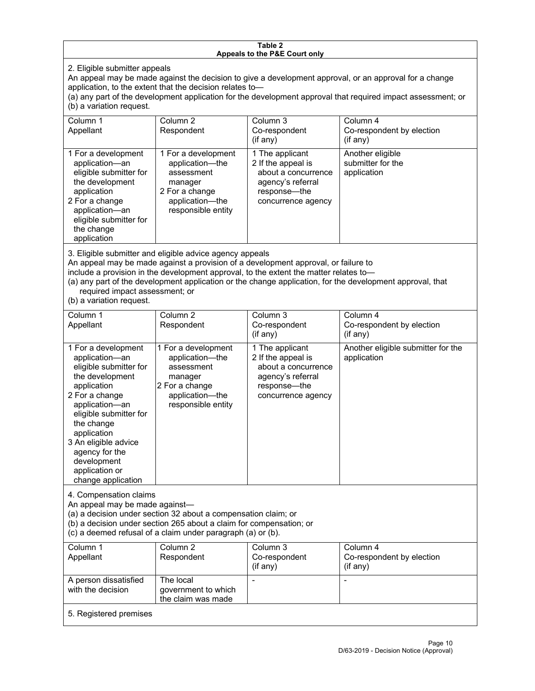#### **Table 2 Appeals to the P&E Court only**

2. Eligible submitter appeals

An appeal may be made against the decision to give a development approval, or an approval for a change application, to the extent that the decision relates to—

(a) any part of the development application for the development approval that required impact assessment; or (b) a variation request.

| Column 1<br>Appellant                                                                                                                                                                                                                                                                                                                                                                                              | Column <sub>2</sub><br>Respondent                                                                                          | Column 3<br>Co-respondent                                                                                               | Column <sub>4</sub><br>Co-respondent by election     |  |
|--------------------------------------------------------------------------------------------------------------------------------------------------------------------------------------------------------------------------------------------------------------------------------------------------------------------------------------------------------------------------------------------------------------------|----------------------------------------------------------------------------------------------------------------------------|-------------------------------------------------------------------------------------------------------------------------|------------------------------------------------------|--|
|                                                                                                                                                                                                                                                                                                                                                                                                                    |                                                                                                                            | $($ if any $)$                                                                                                          | (if any)                                             |  |
| 1 For a development<br>application-an<br>eligible submitter for<br>the development<br>application<br>2 For a change<br>application-an<br>eligible submitter for<br>the change<br>application                                                                                                                                                                                                                       | 1 For a development<br>application-the<br>assessment<br>manager<br>2 For a change<br>application-the<br>responsible entity | 1 The applicant<br>2 If the appeal is<br>about a concurrence<br>agency's referral<br>response-the<br>concurrence agency | Another eligible<br>submitter for the<br>application |  |
| 3. Eligible submitter and eligible advice agency appeals<br>An appeal may be made against a provision of a development approval, or failure to<br>include a provision in the development approval, to the extent the matter relates to-<br>(a) any part of the development application or the change application, for the development approval, that<br>required impact assessment; or<br>(b) a variation request. |                                                                                                                            |                                                                                                                         |                                                      |  |
| Column 1<br>Appellant                                                                                                                                                                                                                                                                                                                                                                                              | Column <sub>2</sub><br>Respondent                                                                                          | Column 3<br>Co-respondent<br>(if any)                                                                                   | Column 4<br>Co-respondent by election<br>(if any)    |  |
| 1 For a development<br>application-an<br>eligible submitter for<br>the development<br>application<br>2 For a change<br>application-an<br>eligible submitter for<br>the change<br>application<br>3 An eligible advice<br>agency for the<br>development<br>application or<br>change application                                                                                                                      | 1 For a development<br>application-the<br>assessment<br>manager<br>2 For a change<br>application-the<br>responsible entity | 1 The applicant<br>2 If the appeal is<br>about a concurrence<br>agency's referral<br>response-the<br>concurrence agency | Another eligible submitter for the<br>application    |  |
| 4. Compensation claims<br>An appeal may be made against-<br>(a) a decision under section 32 about a compensation claim; or<br>(b) a decision under section 265 about a claim for compensation; or<br>(c) a deemed refusal of a claim under paragraph (a) or (b).                                                                                                                                                   |                                                                                                                            |                                                                                                                         |                                                      |  |
| Column 1<br>Appellant                                                                                                                                                                                                                                                                                                                                                                                              | Column <sub>2</sub><br>Respondent                                                                                          | Column 3<br>Co-respondent<br>(if any)                                                                                   | Column 4<br>Co-respondent by election<br>(if any)    |  |
| A person dissatisfied<br>with the decision                                                                                                                                                                                                                                                                                                                                                                         | The local<br>government to which<br>the claim was made                                                                     |                                                                                                                         |                                                      |  |
| 5. Registered premises                                                                                                                                                                                                                                                                                                                                                                                             |                                                                                                                            |                                                                                                                         |                                                      |  |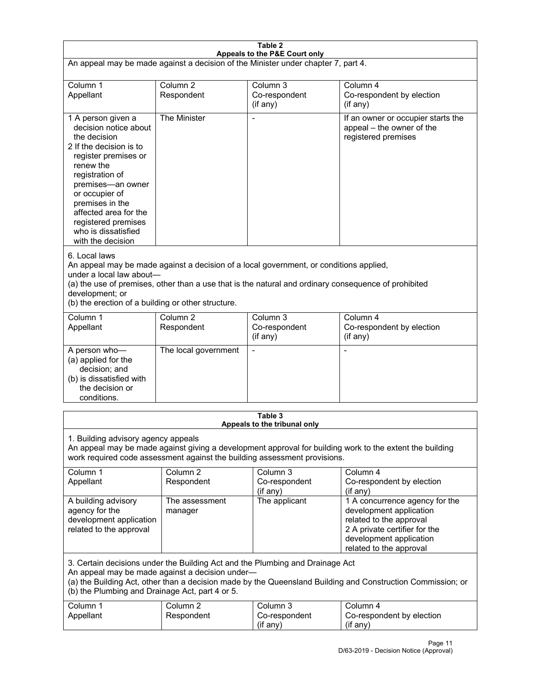| $\overline{\text{Table 2}}$                                                                                                                                                                                                                                                                                          |                                   |                                         |                                                                                                                                                                             |  |
|----------------------------------------------------------------------------------------------------------------------------------------------------------------------------------------------------------------------------------------------------------------------------------------------------------------------|-----------------------------------|-----------------------------------------|-----------------------------------------------------------------------------------------------------------------------------------------------------------------------------|--|
| Appeals to the P&E Court only<br>An appeal may be made against a decision of the Minister under chapter 7, part 4.                                                                                                                                                                                                   |                                   |                                         |                                                                                                                                                                             |  |
|                                                                                                                                                                                                                                                                                                                      |                                   |                                         |                                                                                                                                                                             |  |
| Column 1<br>Appellant                                                                                                                                                                                                                                                                                                | Column <sub>2</sub><br>Respondent | Column 3<br>Co-respondent<br>(if any)   | Column 4<br>Co-respondent by election<br>(if any)                                                                                                                           |  |
| 1 A person given a<br>decision notice about<br>the decision<br>2 If the decision is to<br>register premises or<br>renew the<br>registration of<br>premises-an owner<br>or occupier of<br>premises in the<br>affected area for the<br>registered premises<br>who is dissatisfied<br>with the decision                 | The Minister                      |                                         | If an owner or occupier starts the<br>appeal – the owner of the<br>registered premises                                                                                      |  |
| 6. Local laws<br>An appeal may be made against a decision of a local government, or conditions applied,<br>under a local law about-<br>(a) the use of premises, other than a use that is the natural and ordinary consequence of prohibited<br>development; or<br>(b) the erection of a building or other structure. |                                   |                                         |                                                                                                                                                                             |  |
| Column 1<br>Appellant                                                                                                                                                                                                                                                                                                | Column <sub>2</sub><br>Respondent | Column $3$<br>Co-respondent<br>(if any) | Column 4<br>Co-respondent by election<br>(if any)                                                                                                                           |  |
| A person who-<br>(a) applied for the<br>decision; and<br>(b) is dissatisfied with<br>the decision or<br>conditions.                                                                                                                                                                                                  | The local government              |                                         |                                                                                                                                                                             |  |
|                                                                                                                                                                                                                                                                                                                      |                                   | Table 3                                 |                                                                                                                                                                             |  |
| Appeals to the tribunal only<br>1. Building advisory agency appeals<br>An appeal may be made against giving a development approval for building work to the extent the building<br>work required code assessment against the building assessment provisions.                                                         |                                   |                                         |                                                                                                                                                                             |  |
| Column 1<br>Appellant                                                                                                                                                                                                                                                                                                | Column <sub>2</sub><br>Respondent | Column 3<br>Co-respondent<br>(if any)   | Column 4<br>Co-respondent by election<br>(if any)                                                                                                                           |  |
| A building advisory<br>agency for the<br>development application<br>related to the approval                                                                                                                                                                                                                          | The assessment<br>manager         | The applicant                           | 1 A concurrence agency for the<br>development application<br>related to the approval<br>2 A private certifier for the<br>development application<br>related to the approval |  |
| 3. Certain decisions under the Building Act and the Plumbing and Drainage Act<br>An appeal may be made against a decision under-<br>(a) the Building Act, other than a decision made by the Queensland Building and Construction Commission; or<br>(b) the Plumbing and Drainage Act, part 4 or 5.                   |                                   |                                         |                                                                                                                                                                             |  |
| Column 1<br>Appellant                                                                                                                                                                                                                                                                                                | Column <sub>2</sub><br>Respondent | Column 3<br>Co-respondent<br>(if any)   | Column 4<br>Co-respondent by election<br>(if any)                                                                                                                           |  |